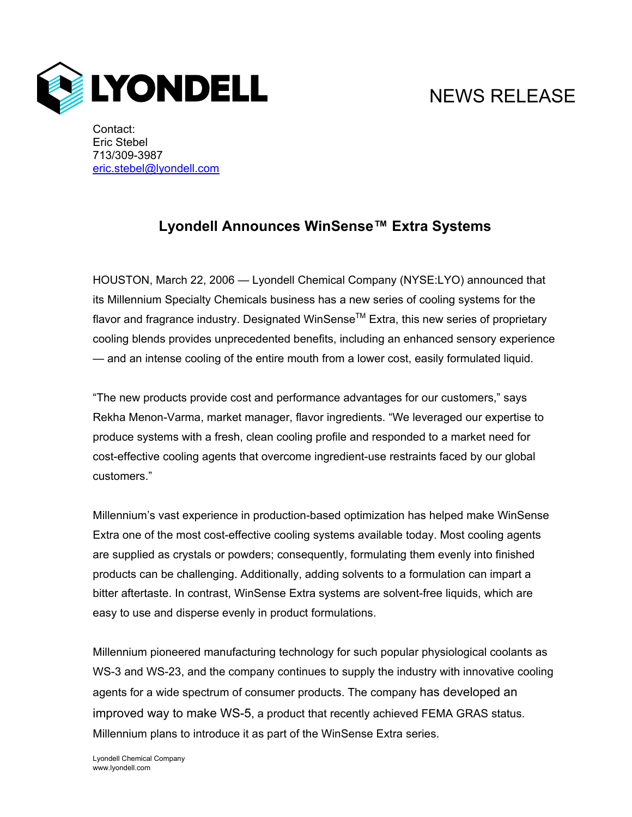## NEWS RELEASE



Contact: Eric Stebel 713/309-3987 eric.stebel@lyondell.com

## **Lyondell Announces WinSense™ Extra Systems**

HOUSTON, March 22, 2006 — Lyondell Chemical Company (NYSE:LYO) announced that its Millennium Specialty Chemicals business has a new series of cooling systems for the flavor and fragrance industry. Designated WinSense™ Extra, this new series of proprietary cooling blends provides unprecedented benefits, including an enhanced sensory experience — and an intense cooling of the entire mouth from a lower cost, easily formulated liquid.

"The new products provide cost and performance advantages for our customers," says Rekha Menon-Varma, market manager, flavor ingredients. "We leveraged our expertise to produce systems with a fresh, clean cooling profile and responded to a market need for cost-effective cooling agents that overcome ingredient-use restraints faced by our global customers."

Millennium's vast experience in production-based optimization has helped make WinSense Extra one of the most cost-effective cooling systems available today. Most cooling agents are supplied as crystals or powders; consequently, formulating them evenly into finished products can be challenging. Additionally, adding solvents to a formulation can impart a bitter aftertaste. In contrast, WinSense Extra systems are solvent-free liquids, which are easy to use and disperse evenly in product formulations.

Millennium pioneered manufacturing technology for such popular physiological coolants as WS-3 and WS-23, and the company continues to supply the industry with innovative cooling agents for a wide spectrum of consumer products. The company has developed an improved way to make WS-5, a product that recently achieved FEMA GRAS status. Millennium plans to introduce it as part of the WinSense Extra series.